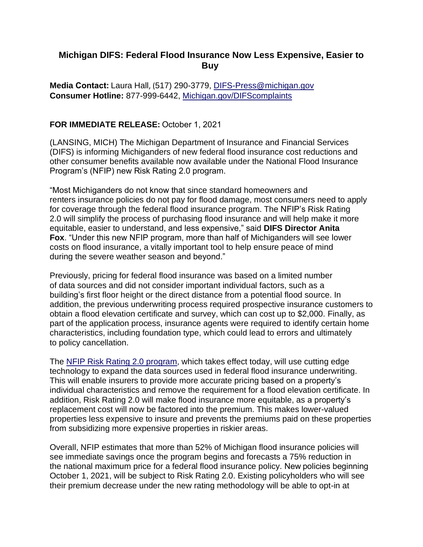## **Michigan DIFS: Federal Flood Insurance Now Less Expensive, Easier to Buy**

**Media Contact:**Laura Hall, (517) 290-3779, [DIFS-Press@michigan.gov](mailto:difs-press@michigan.gov) **Consumer Hotline:** 877-999-6442, [Michigan.gov/DIFScomplaints](https://lnks.gd/l/eyJhbGciOiJIUzI1NiJ9.eyJidWxsZXRpbl9saW5rX2lkIjoxMDAsInVyaSI6ImJwMjpjbGljayIsImJ1bGxldGluX2lkIjoiMjAyMTEwMDEuNDY3NTEzODEiLCJ1cmwiOiJodHRwczovL3d3dy5taWNoaWdhbi5nb3YvRElGU2NvbXBsYWludHMifQ.Hi0-AIHMt0HD1dwOeMl2BR-Cy7hmW8sWzc6Rm0Gm_dc/s/635869883/br/113219459013-l) 

## **FOR IMMEDIATE RELEASE:** October 1, 2021

(LANSING, MICH) The Michigan Department of Insurance and Financial Services (DIFS) is informing Michiganders of new federal flood insurance cost reductions and other consumer benefits available now available under the National Flood Insurance Program's (NFIP) new Risk Rating 2.0 program.

"Most Michiganders do not know that since standard homeowners and renters insurance policies do not pay for flood damage, most consumers need to apply for coverage through the federal flood insurance program. The NFIP's Risk Rating 2.0 will simplify the process of purchasing flood insurance and will help make it more equitable, easier to understand, and less expensive," said **DIFS Director Anita Fox**. "Under this new NFIP program, more than half of Michiganders will see lower costs on flood insurance, a vitally important tool to help ensure peace of mind during the severe weather season and beyond."

Previously, pricing for federal flood insurance was based on a limited number of data sources and did not consider important individual factors, such as a building's first floor height or the direct distance from a potential flood source. In addition, the previous underwriting process required prospective insurance customers to obtain a flood elevation certificate and survey, which can cost up to \$2,000. Finally, as part of the application process, insurance agents were required to identify certain home characteristics, including foundation type, which could lead to errors and ultimately to policy cancellation.

The NFIP Risk [Rating 2.0](https://lnks.gd/l/eyJhbGciOiJIUzI1NiJ9.eyJidWxsZXRpbl9saW5rX2lkIjoxMDEsInVyaSI6ImJwMjpjbGljayIsImJ1bGxldGluX2lkIjoiMjAyMTEwMDEuNDY3NTEzODEiLCJ1cmwiOiJodHRwczovL3d3dy5mZW1hLmdvdi9mbG9vZC1pbnN1cmFuY2Uvcmlzay1yYXRpbmcifQ.y2LL25NXmR4Tegivb4m-dU_5m-u2m__NU4wM-YWtIzY/s/635869883/br/113219459013-l) program, which takes effect today, will use cutting edge technology to expand the data sources used in federal flood insurance underwriting. This will enable insurers to provide more accurate pricing based on a property's individual characteristics and remove the requirement for a flood elevation certificate. In addition, Risk Rating 2.0 will make flood insurance more equitable, as a property's replacement cost will now be factored into the premium. This makes lower-valued properties less expensive to insure and prevents the premiums paid on these properties from subsidizing more expensive properties in riskier areas.

Overall, NFIP estimates that more than 52% of Michigan flood insurance policies will see immediate savings once the program begins and forecasts a 75% reduction in the national maximum price for a federal flood insurance policy. New policies beginning October 1, 2021, will be subject to Risk Rating 2.0. Existing policyholders who will see their premium decrease under the new rating methodology will be able to opt-in at